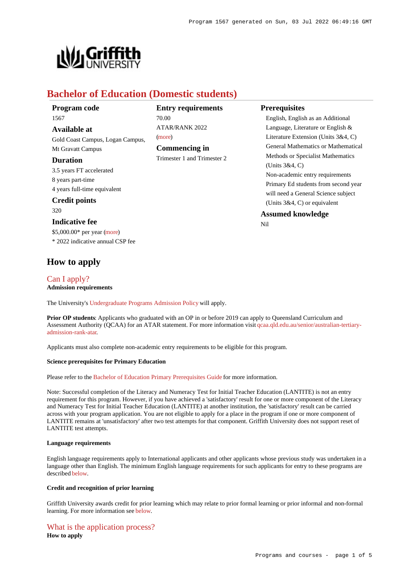

# **Bachelor of Education (Domestic students)**

| Program code                     | <b>Entry requirements</b>   | <b>Prerequisites</b>                                                        |
|----------------------------------|-----------------------------|-----------------------------------------------------------------------------|
| 1567                             | 70.00                       | English, English as an Additional                                           |
| <b>Available at</b>              | <b>ATAR/RANK 2022</b>       | Language, Literature or English $\&$                                        |
| Gold Coast Campus, Logan Campus, | (more)                      | Literature Extension (Units $3&4, C$ )                                      |
| Mt Gravatt Campus                | Commencing in               | <b>General Mathematics or Mathematical</b>                                  |
| <b>Duration</b>                  | Trimester 1 and Trimester 2 | Methods or Specialist Mathematics                                           |
| 3.5 years FT accelerated         |                             | (Units $3&4$ , C)                                                           |
| 8 years part-time                |                             | Non-academic entry requirements                                             |
| 4 years full-time equivalent     |                             | Primary Ed students from second year<br>will need a General Science subject |
| <b>Credit points</b>             |                             | (Units $3&4, C$ ) or equivalent                                             |
| 320                              |                             | <b>Assumed knowledge</b>                                                    |
| <b>Indicative fee</b>            |                             | Nil                                                                         |
| $$5,000.00*$ per year (more)     |                             |                                                                             |
| * 2022 indicative annual CSP fee |                             |                                                                             |

# **How to apply**

## [Can I apply?](https://www148.griffith.edu.au/programs-courses/Program/1567/HowToApply/Domestic#can-i-apply)

**Admission requirements**

The University's [Undergraduate Programs Admission Policy](https://sharepointpubstor.blob.core.windows.net/policylibrary-prod/Undergraduate Programs Admission Policy.pdf) will apply.

**Prior OP students:** Applicants who graduated with an OP in or before 2019 can apply to Queensland Curriculum and Assessment Authority (QCAA) for an ATAR statement. For more information visit [qcaa.qld.edu.au/senior/australian-tertiary](http://qcaa.qld.edu.au/senior/australian-tertiary-admission-rank-atar)[admission-rank-atar](http://qcaa.qld.edu.au/senior/australian-tertiary-admission-rank-atar).

Applicants must also complete non-academic entry requirements to be eligible for this program.

### **Science prerequisites for Primary Education**

Please refer to the [Bachelor of Education Primary Prerequisites Guide](https://www.griffith.edu.au/__data/assets/pdf_file/0023/415148/primary-educ-science-prereqs.pdf) for more information.

Note: Successful completion of the Literacy and Numeracy Test for Initial Teacher Education (LANTITE) is not an entry requirement for this program. However, if you have achieved a 'satisfactory' result for one or more component of the Literacy and Numeracy Test for Initial Teacher Education (LANTITE) at another institution, the 'satisfactory' result can be carried across with your program application. You are not eligible to apply for a place in the program if one or more component of LANTITE remains at 'unsatisfactory' after two test attempts for that component. Griffith University does not support reset of LANTITE test attempts.

### **Language requirements**

English language requirements apply to International applicants and other applicants whose previous study was undertaken in a language other than English. The minimum English language requirements for such applicants for entry to these programs are described [below](https://www148.griffith.edu.au/programs-courses/Program/1567/HowToApply/Domestic#language).

### **Credit and recognition of prior learning**

Griffith University awards credit for prior learning which may relate to prior formal learning or prior informal and non-formal learning. For more information see [below](https://www148.griffith.edu.au/programs-courses/Program/1567/HowToApply/Domestic#credit).

# [What is the application process?](https://www148.griffith.edu.au/programs-courses/Program/1567/HowToApply/Domestic#process)

**How to apply**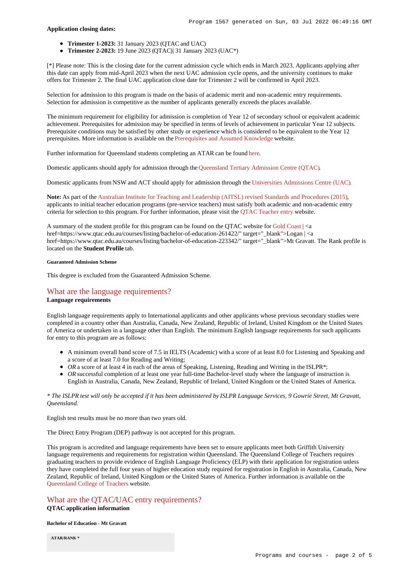### **Application closing dates:**

- **Trimester 1-2023:** 31 January 2023 (QTAC and UAC)
- **Trimester 2-2023:** 19 June 2023 (QTAC)| 31 January 2023 (UAC\*)

[\*] Please note: This is the closing date for the current admission cycle which ends in March 2023. Applicants applying after this date can apply from mid-April 2023 when the next UAC admission cycle opens, and the university continues to make offers for Trimester 2. The final UAC application close date for Trimester 2 will be confirmed in April 2023.

Selection for admission to this program is made on the basis of academic merit and non-academic entry requirements. Selection for admission is competitive as the number of applicants generally exceeds the places available.

The minimum requirement for eligibility for admission is completion of Year 12 of secondary school or equivalent academic achievement. Prerequisites for admission may be specified in terms of levels of achievement in particular Year 12 subjects. Prerequisite conditions may be satisfied by other study or experience which is considered to be equivalent to the Year 12 prerequisites. More information is available on the [Prerequisites and Assumed Knowledge](https://www.griffith.edu.au/apply/prerequisites-assumed-knowledge) website.

Further information for Queensland students completing an ATAR can be found [here](https://www.griffith.edu.au/apply/undergraduate-study/high-school-students/admission-in-2021).

Domestic applicants should apply for admission through the [Queensland Tertiary Admission Centre \(QTAC\)](http://www.qtac.edu.au/).

Domestic applicants from NSW and ACT should apply for admission through the [Universities Admissions Centre \(UAC\)](http://www.uac.edu.au/).

**Note:** As part of the [Australian Institute for Teaching and Leadership \(AITSL\) revised Standards and Procedures \(2015\)](https://www.aitsl.edu.au/initial-teacher-education/ite-reform/accreditation), applicants to initial teacher education programs (pre-service teachers) must satisfy both academic and non-academic entry criteria for selection to this program. For further information, please visit the [QTAC Teacher entry](http://www.qtac.edu.au/courses---institutions/teacher-entry) website.

A summary of the student profile for this program can be found on the QTAC website for [Gold Coast](https://www.qtac.edu.au/courses/listing/bachelor-of-education-232272/)  $| \le a$ href=https://www.qtac.edu.au/courses/listing/bachelor-of-education-261422/" target="\_blank">Logan | <a href=https://www.qtac.edu.au/courses/listing/bachelor-of-education-223342/" target="\_blank">Mt Gravatt. The Rank profile is located on the **Student Profile** tab.

### **Guaranteed Admission Scheme**

This degree is excluded from the Guaranteed Admission Scheme.

## [What are the language requirements?](https://www148.griffith.edu.au/programs-courses/Program/1567/HowToApply/Domestic#language)

### **Language requirements**

English language requirements apply to International applicants and other applicants whose previous secondary studies were completed in a country other than Australia, Canada, New Zealand, Republic of Ireland, United Kingdom or the United States of America or undertaken in a language other than English. The minimum English language requirements for such applicants for entry to this program are as follows:

- A minimum overall band score of 7.5 in IELTS (Academic) with a score of at least 8.0 for Listening and Speaking and a score of at least 7.0 for Reading and Writing;
- OR a score of at least 4 in each of the areas of Speaking, Listening, Reading and Writing in the ISLPR<sup>\*</sup>;
- OR successful completion of at least one year full-time Bachelor-level study where the language of instruction is English in Australia, Canada, New Zealand, Republic of Ireland, United Kingdom or the United States of America.

*\* The ISLPR test will only be accepted if it has been administered by ISLPR Language Services, 9 Gowrie Street, Mt Gravatt, Queensland.*

English test results must be no more than two years old.

The Direct Entry Program (DEP) pathway is not accepted for this program.

This program is accredited and language requirements have been set to ensure applicants meet both Griffith University language requirements and requirements for registration within Queensland. The Queensland College of Teachers requires graduating teachers to provide evidence of English Language Proficiency (ELP) with their application for registration unless they have completed the full four years of higher education study required for registration in English in Australia, Canada, New Zealand, Republic of Ireland, United Kingdom or the United States of America. Further information is available on the [Queensland College of Teachers](http://www.qct.edu.au/registration/english-language-proficiency-requirement) website.

# [What are the QTAC/UAC entry requirements?](https://www148.griffith.edu.au/programs-courses/Program/1567/HowToApply/Domestic#tac-entry-requirements)

## **QTAC application information**

**Bachelor of Education - Mt Gravatt**

**ATAR/RANK \***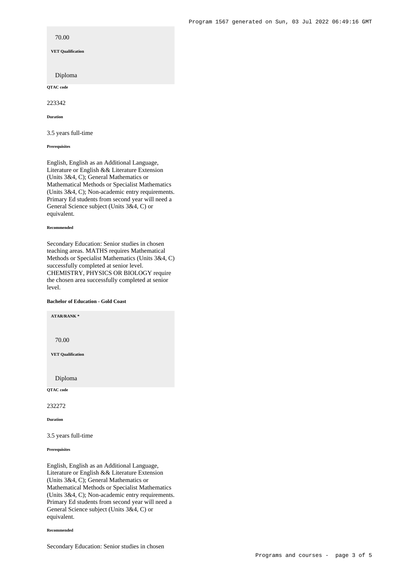70.00 **VET Qualification** Diploma **QTAC code**

223342

**Duration**

3.5 years full-time

**Prerequisites**

English, English as an Additional Language, Literature or English && Literature Extension (Units 3&4, C); General Mathematics or Mathematical Methods or Specialist Mathematics (Units 3&4, C); Non-academic entry requirements. Primary Ed students from second year will need a General Science subject (Units 3&4, C) or equivalent.

#### **Recommended**

Secondary Education: Senior studies in chosen teaching areas. MATHS requires Mathematical Methods or Specialist Mathematics (Units 3&4, C) successfully completed at senior level. CHEMISTRY, PHYSICS OR BIOLOGY require the chosen area successfully completed at senior level.

### **Bachelor of Education - Gold Coast**

**ATAR/RANK \***

70.00

**VET Qualification**

Diploma

**QTAC code**

232272

**Duration**

3.5 years full-time

**Prerequisites**

English, English as an Additional Language, Literature or English && Literature Extension (Units 3&4, C); General Mathematics or Mathematical Methods or Specialist Mathematics (Units 3&4, C); Non-academic entry requirements. Primary Ed students from second year will need a General Science subject (Units 3&4, C) or equivalent.

#### **Recommended**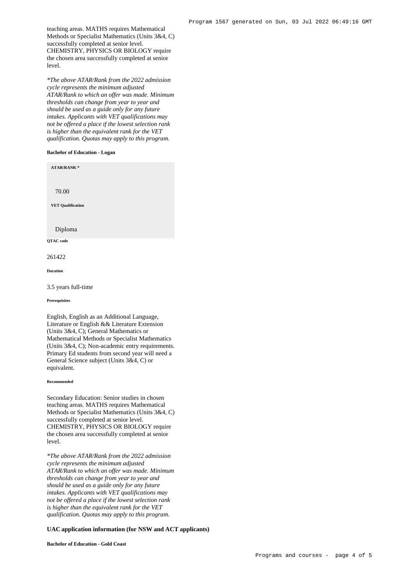teaching areas. MATHS requires Mathematical Methods or Specialist Mathematics (Units 3&4, C) successfully completed at senior level. CHEMISTRY, PHYSICS OR BIOLOGY require the chosen area successfully completed at senior level.

*\*The above ATAR/Rank from the 2022 admission cycle represents the minimum adjusted ATAR/Rank to which an offer was made. Minimum thresholds can change from year to year and should be used as a guide only for any future intakes. Applicants with VET qualifications may not be offered a place if the lowest selection rank is higher than the equivalent rank for the VET qualification. Quotas may apply to this program.*

#### **Bachelor of Education - Logan**

**ATAR/RANK \***

70.00

**VET Qualification**

Diploma

**QTAC code**

261422

**Duration**

3.5 years full-time

**Prerequisites**

English, English as an Additional Language, Literature or English && Literature Extension (Units 3&4, C); General Mathematics or Mathematical Methods or Specialist Mathematics (Units 3&4, C); Non-academic entry requirements. Primary Ed students from second year will need a General Science subject (Units 3&4, C) or equivalent.

#### **Recommended**

Secondary Education: Senior studies in chosen teaching areas. MATHS requires Mathematical Methods or Specialist Mathematics (Units 3&4, C) successfully completed at senior level. CHEMISTRY, PHYSICS OR BIOLOGY require the chosen area successfully completed at senior level.

*\*The above ATAR/Rank from the 2022 admission cycle represents the minimum adjusted ATAR/Rank to which an offer was made. Minimum thresholds can change from year to year and should be used as a guide only for any future intakes. Applicants with VET qualifications may not be offered a place if the lowest selection rank is higher than the equivalent rank for the VET qualification. Quotas may apply to this program.*

### **UAC application information (for NSW and ACT applicants)**

**Bachelor of Education - Gold Coast**